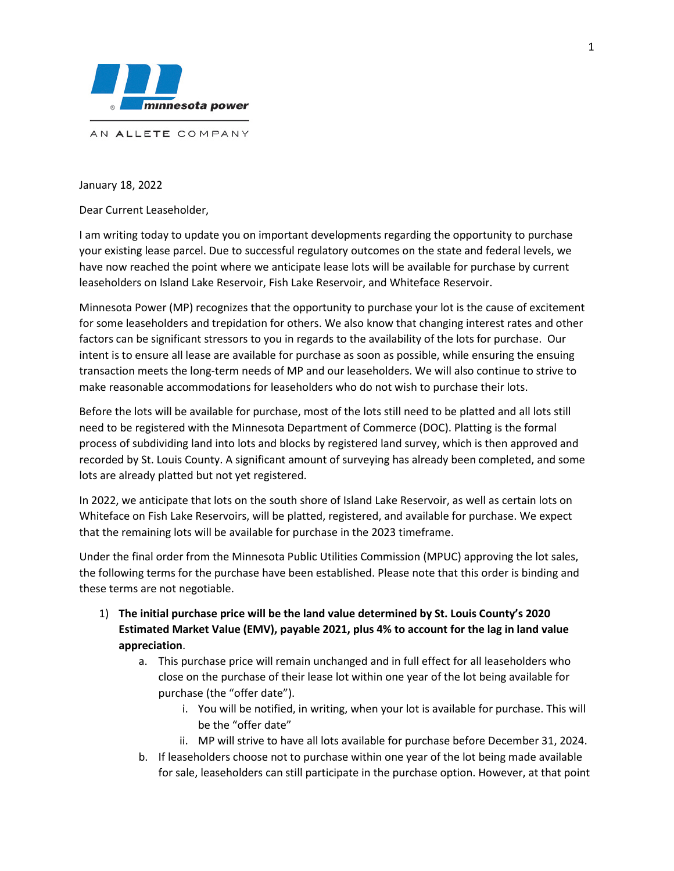

AN ALLETE COMPANY

January 18, 2022

Dear Current Leaseholder,

I am writing today to update you on important developments regarding the opportunity to purchase your existing lease parcel. Due to successful regulatory outcomes on the state and federal levels, we have now reached the point where we anticipate lease lots will be available for purchase by current leaseholders on Island Lake Reservoir, Fish Lake Reservoir, and Whiteface Reservoir.

Minnesota Power (MP) recognizes that the opportunity to purchase your lot is the cause of excitement for some leaseholders and trepidation for others. We also know that changing interest rates and other factors can be significant stressors to you in regards to the availability of the lots for purchase. Our intent is to ensure all lease are available for purchase as soon as possible, while ensuring the ensuing transaction meets the long-term needs of MP and our leaseholders. We will also continue to strive to make reasonable accommodations for leaseholders who do not wish to purchase their lots.

Before the lots will be available for purchase, most of the lots still need to be platted and all lots still need to be registered with the Minnesota Department of Commerce (DOC). Platting is the formal process of subdividing land into lots and blocks by registered land survey, which is then approved and recorded by St. Louis County. A significant amount of surveying has already been completed, and some lots are already platted but not yet registered.

In 2022, we anticipate that lots on the south shore of Island Lake Reservoir, as well as certain lots on Whiteface on Fish Lake Reservoirs, will be platted, registered, and available for purchase. We expect that the remaining lots will be available for purchase in the 2023 timeframe.

Under the final order from the Minnesota Public Utilities Commission (MPUC) approving the lot sales, the following terms for the purchase have been established. Please note that this order is binding and these terms are not negotiable.

- 1) **The initial purchase price will be the land value determined by St. Louis County's 2020 Estimated Market Value (EMV), payable 2021, plus 4% to account for the lag in land value appreciation**.
	- a. This purchase price will remain unchanged and in full effect for all leaseholders who close on the purchase of their lease lot within one year of the lot being available for purchase (the "offer date").
		- i. You will be notified, in writing, when your lot is available for purchase. This will be the "offer date"
		- ii. MP will strive to have all lots available for purchase before December 31, 2024.
	- b. If leaseholders choose not to purchase within one year of the lot being made available for sale, leaseholders can still participate in the purchase option. However, at that point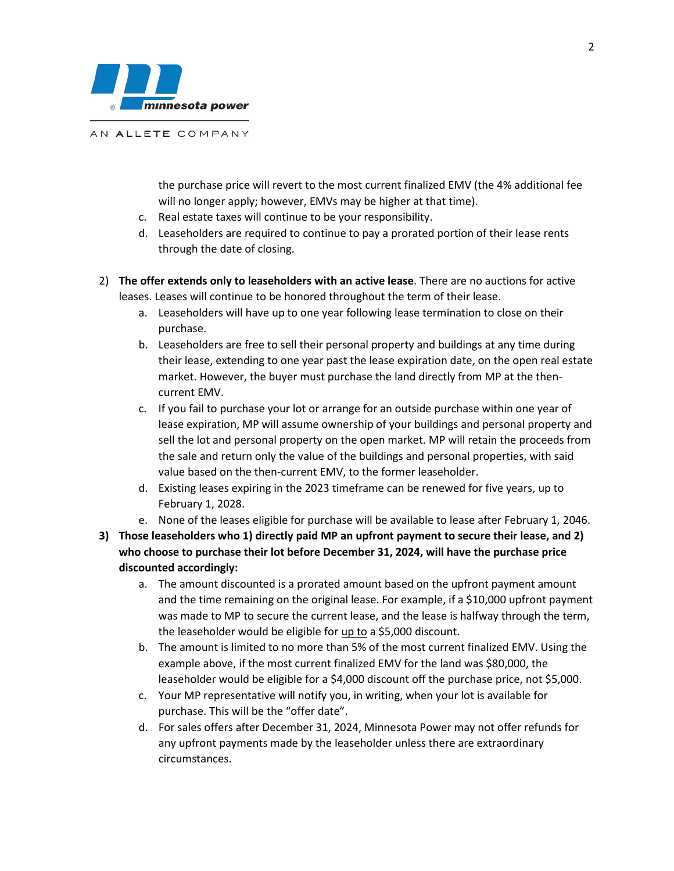

AN ALLETE COMPANY

the purchase price will revert to the most current finalized EMV (the 4% additional fee will no longer apply; however, EMVs may be higher at that time).

- c. Real estate taxes will continue to be your responsibility.
- d. Leaseholders are required to continue to pay a prorated portion of their lease rents through the date of closing.
- 2) **The offer extends only to leaseholders with an active lease**. There are no auctions for active leases. Leases will continue to be honored throughout the term of their lease.
	- a. Leaseholders will have up to one year following lease termination to close on their purchase.
	- b. Leaseholders are free to sell their personal property and buildings at any time during their lease, extending to one year past the lease expiration date, on the open real estate market. However, the buyer must purchase the land directly from MP at the thencurrent EMV.
	- c. If you fail to purchase your lot or arrange for an outside purchase within one year of lease expiration, MP will assume ownership of your buildings and personal property and sell the lot and personal property on the open market. MP will retain the proceeds from the sale and return only the value of the buildings and personal properties, with said value based on the then-current EMV, to the former leaseholder.
	- d. Existing leases expiring in the 2023 timeframe can be renewed for five years, up to February 1, 2028.
	- e. None of the leases eligible for purchase will be available to lease after February 1, 2046.
- **3) Those leaseholders who 1) directly paid MP an upfront payment to secure their lease, and 2) who choose to purchase their lot before December 31, 2024, will have the purchase price discounted accordingly:**
	- a. The amount discounted is a prorated amount based on the upfront payment amount and the time remaining on the original lease. For example, if a \$10,000 upfront payment was made to MP to secure the current lease, and the lease is halfway through the term, the leaseholder would be eligible for up to a \$5,000 discount.
	- b. The amount is limited to no more than 5% of the most current finalized EMV. Using the example above, if the most current finalized EMV for the land was \$80,000, the leaseholder would be eligible for a \$4,000 discount off the purchase price, not \$5,000.
	- c. Your MP representative will notify you, in writing, when your lot is available for purchase. This will be the "offer date".
	- d. For sales offers after December 31, 2024, Minnesota Power may not offer refunds for any upfront payments made by the leaseholder unless there are extraordinary circumstances.